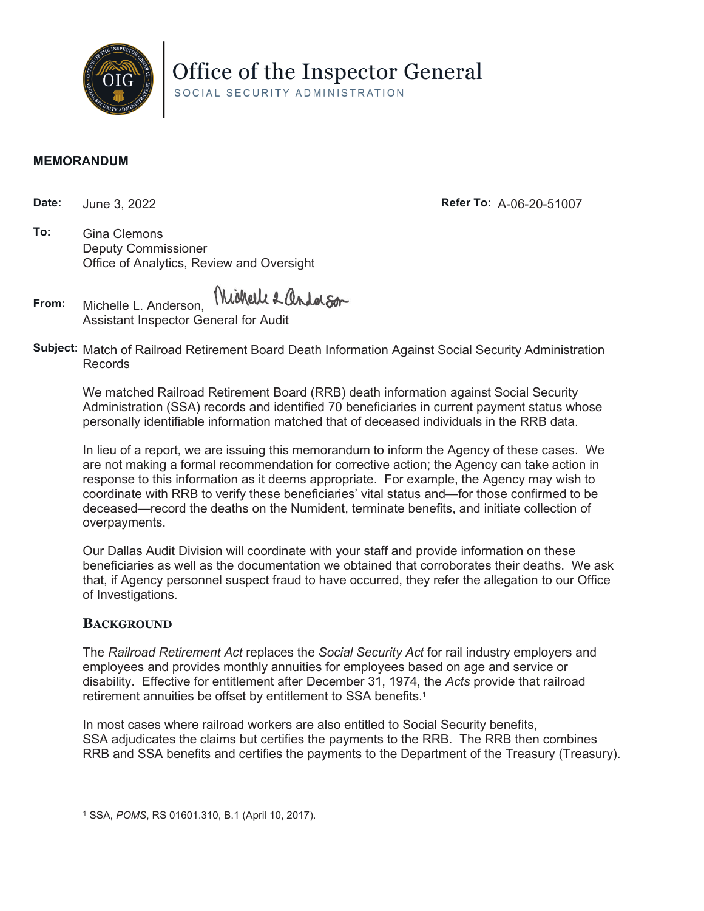

Office of the Inspector General

SOCIAL SECURITY ADMINISTRATION

## **MEMORANDUM**

**Date:** June 3, 2022 **Refer To:** A-06-20-51007

**To:** Gina Clemons Deputy Commissioner Office of Analytics, Review and Oversight

Wichell & andalson **From:** Michelle L. Anderson,

Assistant Inspector General for Audit

**Subject:** Match of Railroad Retirement Board Death Information Against Social Security Administration Records

We matched Railroad Retirement Board (RRB) death information against Social Security Administration (SSA) records and identified 70 beneficiaries in current payment status whose personally identifiable information matched that of deceased individuals in the RRB data.

In lieu of a report, we are issuing this memorandum to inform the Agency of these cases. We are not making a formal recommendation for corrective action; the Agency can take action in response to this information as it deems appropriate. For example, the Agency may wish to coordinate with RRB to verify these beneficiaries' vital status and—for those confirmed to be deceased—record the deaths on the Numident, terminate benefits, and initiate collection of overpayments.

Our Dallas Audit Division will coordinate with your staff and provide information on these beneficiaries as well as the documentation we obtained that corroborates their deaths. We ask that, if Agency personnel suspect fraud to have occurred, they refer the allegation to our Office of Investigations.

## **BACKGROUND**

The *Railroad Retirement Act* replaces the *Social Security Act* for rail industry employers and employees and provides monthly annuities for employees based on age and service or disability. Effective for entitlement after December 31, 1974, the *Acts* provide that railroad retirement annuities be offset by entitlement to SSA benefits.<sup>1</sup>

In most cases where railroad workers are also entitled to Social Security benefits, SSA adjudicates the claims but certifies the payments to the RRB. The RRB then combines RRB and SSA benefits and certifies the payments to the Department of the Treasury (Treasury).

<sup>1</sup> SSA, *POMS*, RS 01601.310, B.1 (April 10, 2017).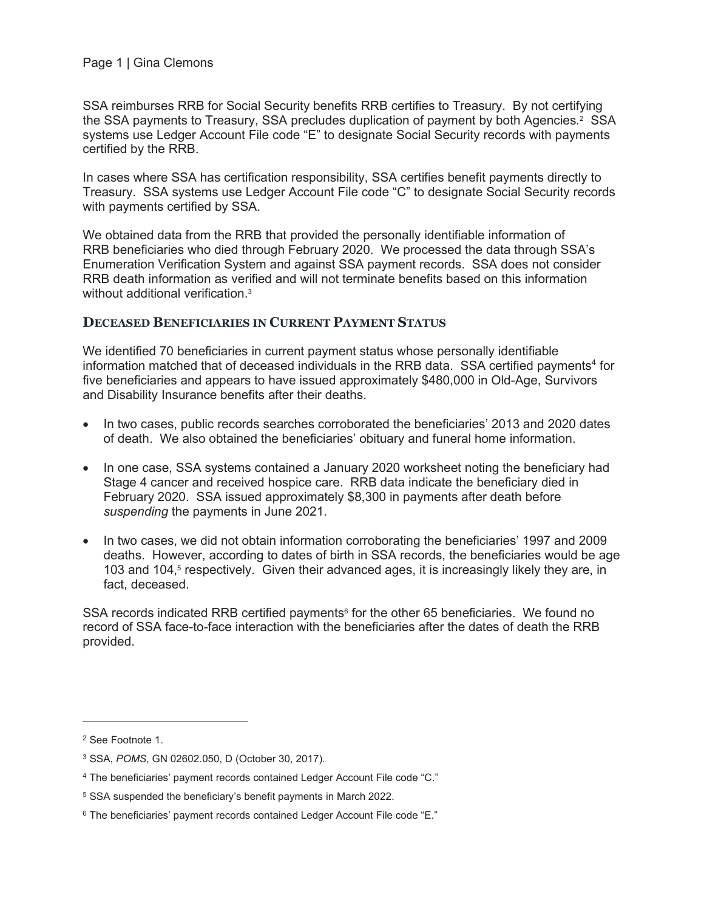SSA reimburses RRB for Social Security benefits RRB certifies to Treasury. By not certifying the SSA payments to Treasury, SSA precludes duplication of payment by both Agencies.<sup>2</sup> SSA systems use Ledger Account File code "E" to designate Social Security records with payments certified by the RRB.

In cases where SSA has certification responsibility, SSA certifies benefit payments directly to Treasury. SSA systems use Ledger Account File code "C" to designate Social Security records with payments certified by SSA.

We obtained data from the RRB that provided the personally identifiable information of RRB beneficiaries who died through February 2020. We processed the data through SSA's Enumeration Verification System and against SSA payment records. SSA does not consider RRB death information as verified and will not terminate benefits based on this information without additional verification.<sup>3</sup>

## **DECEASED BENEFICIARIES IN CURRENT PAYMENT STATUS**

We identified 70 beneficiaries in current payment status whose personally identifiable information matched that of deceased individuals in the RRB data.  $SSA$  certified payments<sup>4</sup> for five beneficiaries and appears to have issued approximately \$480,000 in Old-Age, Survivors and Disability Insurance benefits after their deaths.

- In two cases, public records searches corroborated the beneficiaries' 2013 and 2020 dates of death. We also obtained the beneficiaries' obituary and funeral home information.
- In one case, SSA systems contained a January 2020 worksheet noting the beneficiary had Stage 4 cancer and received hospice care. RRB data indicate the beneficiary died in February 2020. SSA issued approximately \$8,300 in payments after death before *suspending* the payments in June 2021.
- In two cases, we did not obtain information corroborating the beneficiaries' 1997 and 2009 deaths. However, according to dates of birth in SSA records, the beneficiaries would be age 103 and 104,<sup>5</sup> respectively. Given their advanced ages, it is increasingly likely they are, in fact, deceased.

SSA records indicated RRB certified payments<sup> $6$ </sup> for the other 65 beneficiaries. We found no record of SSA face-to-face interaction with the beneficiaries after the dates of death the RRB provided.

<sup>2</sup> See Footnote 1.

<sup>3</sup> SSA, *POMS*, GN 02602.050, D (October 30, 2017).

<sup>4</sup> The beneficiaries' payment records contained Ledger Account File code "C."

<sup>5</sup> SSA suspended the beneficiary's benefit payments in March 2022.

<sup>6</sup> The beneficiaries' payment records contained Ledger Account File code "E."